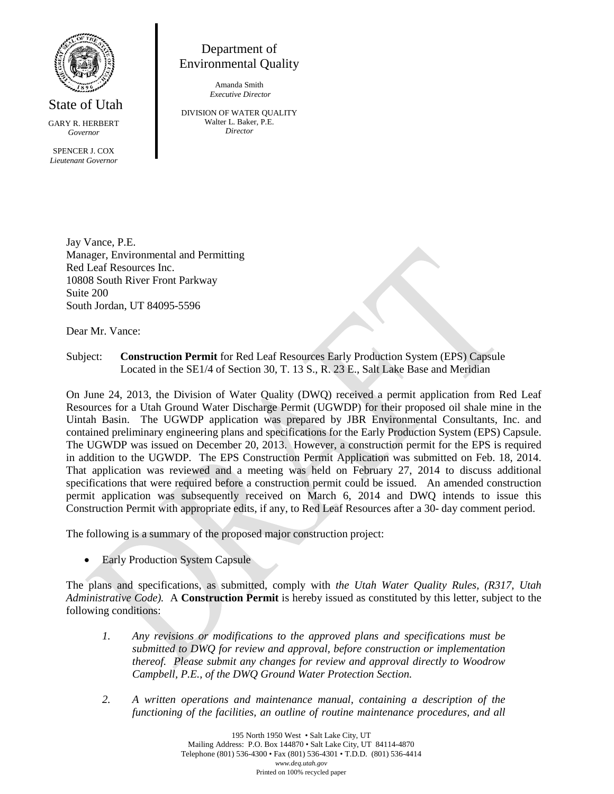

State of Utah GARY R. HERBERT

*Governor*

SPENCER J. COX *Lieutenant Governor*

Department of Environmental Quality

> Amanda Smith *Executive Director*

DIVISION OF WATER QUALITY Walter L. Baker, P.E. *Director*

Jay Vance, P.E. Manager, Environmental and Permitting Red Leaf Resources Inc. 10808 South River Front Parkway Suite 200 South Jordan, UT 84095-5596

Dear Mr. Vance:

Subject: **Construction Permit** for Red Leaf Resources Early Production System (EPS) Capsule Located in the SE1/4 of Section 30, T. 13 S., R. 23 E., Salt Lake Base and Meridian

On June 24, 2013, the Division of Water Quality (DWQ) received a permit application from Red Leaf Resources for a Utah Ground Water Discharge Permit (UGWDP) for their proposed oil shale mine in the Uintah Basin. The UGWDP application was prepared by JBR Environmental Consultants, Inc. and contained preliminary engineering plans and specifications for the Early Production System (EPS) Capsule. The UGWDP was issued on December 20, 2013. However, a construction permit for the EPS is required in addition to the UGWDP. The EPS Construction Permit Application was submitted on Feb. 18, 2014. That application was reviewed and a meeting was held on February 27, 2014 to discuss additional specifications that were required before a construction permit could be issued. An amended construction permit application was subsequently received on March 6, 2014 and DWQ intends to issue this Construction Permit with appropriate edits, if any, to Red Leaf Resources after a 30- day comment period.

The following is a summary of the proposed major construction project:

• Early Production System Capsule

The plans and specifications, as submitted, comply with *the Utah Water Quality Rules, (R317, Utah Administrative Code).* A **Construction Permit** is hereby issued as constituted by this letter, subject to the following conditions:

- *1. Any revisions or modifications to the approved plans and specifications must be submitted to DWQ for review and approval, before construction or implementation thereof. Please submit any changes for review and approval directly to Woodrow Campbell, P.E., of the DWQ Ground Water Protection Section.*
- *2. A written operations and maintenance manual, containing a description of the functioning of the facilities, an outline of routine maintenance procedures, and all*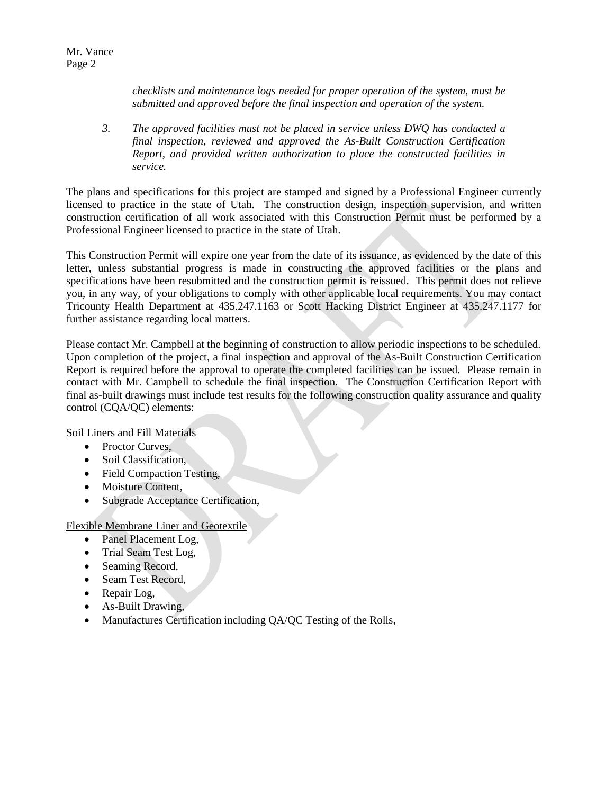Mr. Vance Page 2

> *checklists and maintenance logs needed for proper operation of the system, must be submitted and approved before the final inspection and operation of the system.*

*3. The approved facilities must not be placed in service unless DWQ has conducted a final inspection, reviewed and approved the As-Built Construction Certification Report, and provided written authorization to place the constructed facilities in service.*

The plans and specifications for this project are stamped and signed by a Professional Engineer currently licensed to practice in the state of Utah. The construction design, inspection supervision, and written construction certification of all work associated with this Construction Permit must be performed by a Professional Engineer licensed to practice in the state of Utah.

This Construction Permit will expire one year from the date of its issuance, as evidenced by the date of this letter, unless substantial progress is made in constructing the approved facilities or the plans and specifications have been resubmitted and the construction permit is reissued. This permit does not relieve you, in any way, of your obligations to comply with other applicable local requirements. You may contact Tricounty Health Department at 435.247.1163 or Scott Hacking District Engineer at 435.247.1177 for further assistance regarding local matters.

Please contact Mr. Campbell at the beginning of construction to allow periodic inspections to be scheduled. Upon completion of the project, a final inspection and approval of the As-Built Construction Certification Report is required before the approval to operate the completed facilities can be issued. Please remain in contact with Mr. Campbell to schedule the final inspection. The Construction Certification Report with final as-built drawings must include test results for the following construction quality assurance and quality control (CQA/QC) elements:

Soil Liners and Fill Materials

- Proctor Curves,
- Soil Classification,
- Field Compaction Testing,
- Moisture Content,
- Subgrade Acceptance Certification,

Flexible Membrane Liner and Geotextile

- Panel Placement Log,
- Trial Seam Test Log,
- Seaming Record,
- Seam Test Record,
- Repair Log,
- As-Built Drawing,
- Manufactures Certification including QA/QC Testing of the Rolls,